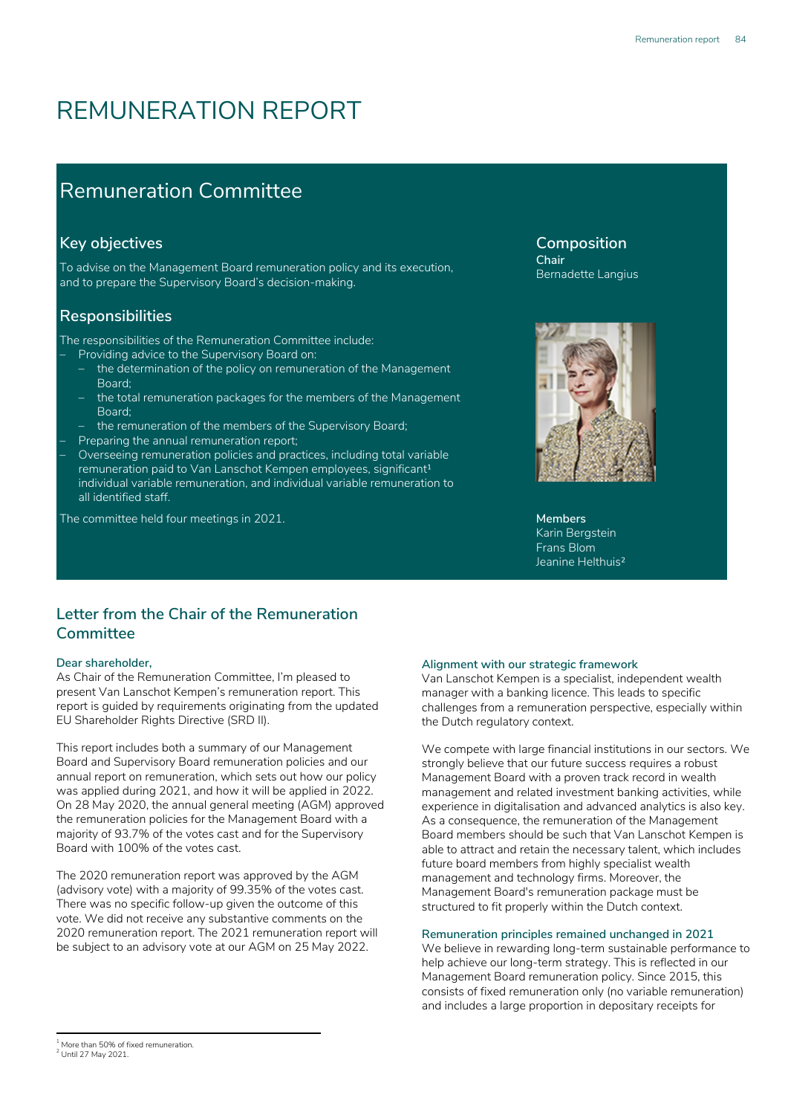# REMUNERATION REPORT

# Remuneration Committee

# **Key objectives**

To advise on the Management Board remuneration policy and its execution, and to prepare the Supervisory Board's decision-making.

# **Responsibilities**

The responsibilities of the Remuneration Committee include:

- Providing advice to the Supervisory Board on:
- the determination of the policy on remuneration of the Management Board;
- the total remuneration packages for the members of the Management Board;
- the remuneration of the members of the Supervisory Board;
- Preparing the annual remuneration report;

– Overseeing remuneration policies and practices, including total variable remuneration paid to Van Lanschot Kempen employees, significant<sup>1</sup> individual variable remuneration, and individual variable remuneration to all identified staff.

The committee held four meetings in 2021.

# **Letter from the Chair of the Remuneration Committee1,2**

### **Dear shareholder,**

As Chair of the Remuneration Committee, I'm pleased to present Van Lanschot Kempen's remuneration report. This report is guided by requirements originating from the updated EU Shareholder Rights Directive (SRD II).

This report includes both a summary of our Management Board and Supervisory Board remuneration policies and our annual report on remuneration, which sets out how our policy was applied during 2021, and how it will be applied in 2022. On 28 May 2020, the annual general meeting (AGM) approved the remuneration policies for the Management Board with a majority of 93.7% of the votes cast and for the Supervisory Board with 100% of the votes cast.

The 2020 remuneration report was approved by the AGM (advisory vote) with a majority of 99.35% of the votes cast. There was no specific follow-up given the outcome of this vote. We did not receive any substantive comments on the 2020 remuneration report. The 2021 remuneration report will be subject to an advisory vote at our AGM on 25 May 2022.

Bernadette Langius

**Composition**

**Chair**



Karin Bergstein Frans Blom Jeanine Helthuis²

#### **Alignment with our strategic framework**

Van Lanschot Kempen is a specialist, independent wealth manager with a banking licence. This leads to specific challenges from a remuneration perspective, especially within the Dutch regulatory context.

We compete with large financial institutions in our sectors. We strongly believe that our future success requires a robust Management Board with a proven track record in wealth management and related investment banking activities, while experience in digitalisation and advanced analytics is also key. As a consequence, the remuneration of the Management Board members should be such that Van Lanschot Kempen is able to attract and retain the necessary talent, which includes future board members from highly specialist wealth management and technology firms. Moreover, the Management Board's remuneration package must be structured to fit properly within the Dutch context.

### **Remuneration principles remained unchanged in 2021**

We believe in rewarding long-term sustainable performance to help achieve our long-term strategy. This is reflected in our Management Board remuneration policy. Since 2015, this consists of fixed remuneration only (no variable remuneration) and includes a large proportion in depositary receipts for

<sup>&</sup>lt;sup>1</sup> More than 50% of fixed remuneration.

<sup>&</sup>lt;sup>2</sup> Until 27 May 2021.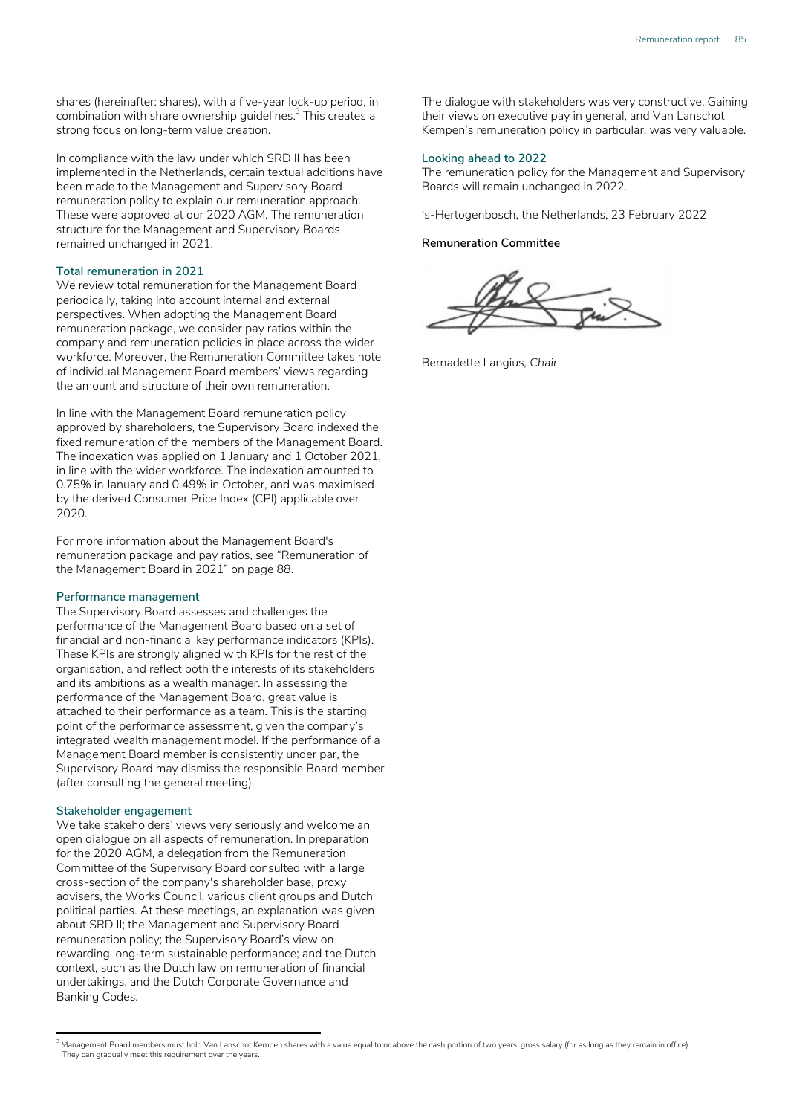shares (hereinafter: shares), with a five-year lock-up period, in combination with share ownership guidelines. $^3$  This creates a strong focus on long-term value creation.

In compliance with the law under which SRD II has been implemented in the Netherlands, certain textual additions have been made to the Management and Supervisory Board remuneration policy to explain our remuneration approach. These were approved at our 2020 AGM. The remuneration structure for the Management and Supervisory Boards remained unchanged in 2021.

#### **Total remuneration in 2021**

We review total remuneration for the Management Board periodically, taking into account internal and external perspectives. When adopting the Management Board remuneration package, we consider pay ratios within the company and remuneration policies in place across the wider workforce. Moreover, the Remuneration Committee takes note of individual Management Board members' views regarding the amount and structure of their own remuneration.

In line with the Management Board remuneration policy approved by shareholders, the Supervisory Board indexed the fixed remuneration of the members of the Management Board. The indexation was applied on 1 January and 1 October 2021, in line with the wider workforce. The indexation amounted to 0.75% in January and 0.49% in October, and was maximised by the derived Consumer Price Index (CPI) applicable over 2020.

For more information about the Management Board's remuneration package and pay ratios, see "Remuneration of the Management Board in 2021" on page 88.

#### **Performance management**

The Supervisory Board assesses and challenges the performance of the Management Board based on a set of financial and non-financial key performance indicators (KPIs). These KPIs are strongly aligned with KPIs for the rest of the organisation, and reflect both the interests of its stakeholders and its ambitions as a wealth manager. In assessing the performance of the Management Board, great value is attached to their performance as a team. This is the starting point of the performance assessment, given the company's integrated wealth management model. If the performance of a Management Board member is consistently under par, the Supervisory Board may dismiss the responsible Board member (after consulting the general meeting).

#### **Stakeholder engagement**

We take stakeholders' views very seriously and welcome an open dialogue on all aspects of remuneration. In preparation for the 2020 AGM, a delegation from the Remuneration Committee of the Supervisory Board consulted with a large cross-section of the company's shareholder base, proxy advisers, the Works Council, various client groups and Dutch political parties. At these meetings, an explanation was given about SRD II; the Management and Supervisory Board remuneration policy; the Supervisory Board's view on rewarding long-term sustainable performance; and the Dutch context, such as the Dutch law on remuneration of financial undertakings, and the Dutch Corporate Governance and Banking Codes.

The dialogue with stakeholders was very constructive. Gaining their views on executive pay in general, and Van Lanschot Kempen's remuneration policy in particular, was very valuable.

#### **Looking ahead to 2022**

The remuneration policy for the Management and Supervisory Boards will remain unchanged in 2022.

's-Hertogenbosch, the Netherlands, 23 February 2022

#### **Remuneration Committee**

Bernadette Langius*, Chair* 

<sup>&</sup>lt;sup>3</sup> Management Board members must hold Van Lanschot Kempen shares with a value equal to or above the cash portion of two years' gross salary (for as long as they remain in office). They can gradually meet this requirement over the years.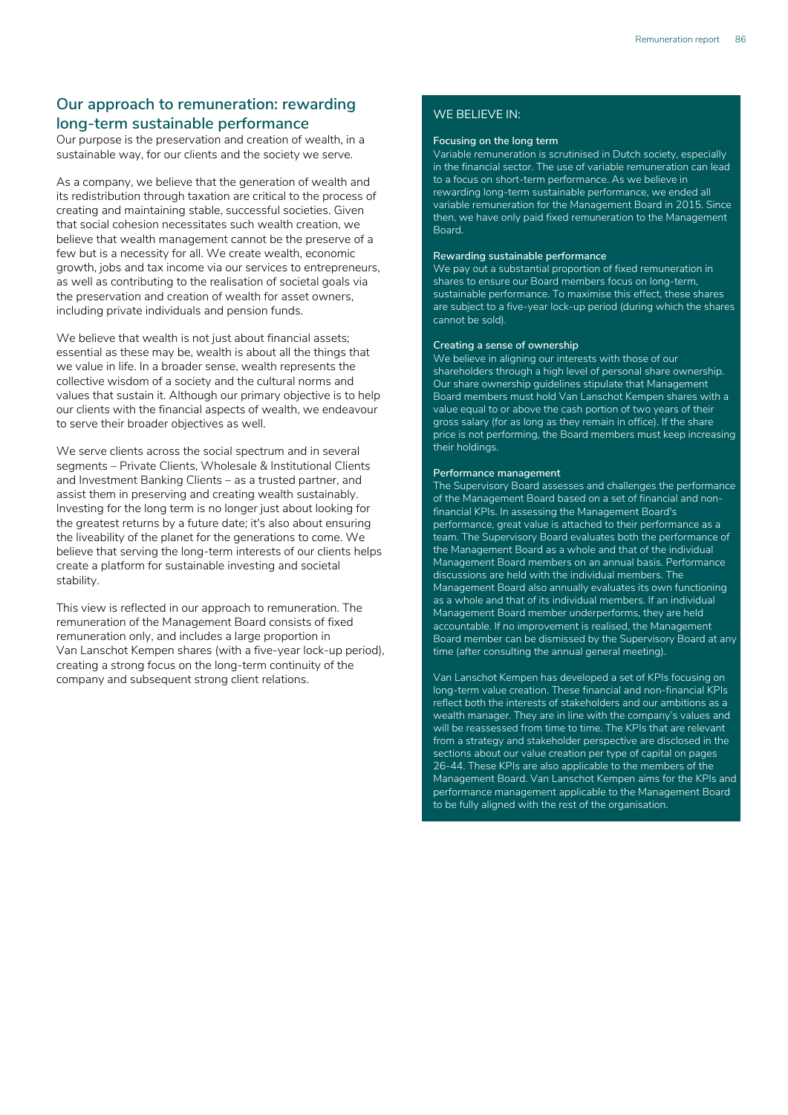# **Our approach to remuneration: rewarding long-term sustainable performance**

Our purpose is the preservation and creation of wealth, in a sustainable way, for our clients and the society we serve.

As a company, we believe that the generation of wealth and its redistribution through taxation are critical to the process of creating and maintaining stable, successful societies. Given that social cohesion necessitates such wealth creation, we believe that wealth management cannot be the preserve of a few but is a necessity for all. We create wealth, economic growth, jobs and tax income via our services to entrepreneurs, as well as contributing to the realisation of societal goals via the preservation and creation of wealth for asset owners, including private individuals and pension funds.

We believe that wealth is not just about financial assets; essential as these may be, wealth is about all the things that we value in life. In a broader sense, wealth represents the collective wisdom of a society and the cultural norms and values that sustain it. Although our primary objective is to help our clients with the financial aspects of wealth, we endeavour to serve their broader objectives as well.

We serve clients across the social spectrum and in several segments – Private Clients, Wholesale & Institutional Clients and Investment Banking Clients – as a trusted partner, and assist them in preserving and creating wealth sustainably. Investing for the long term is no longer just about looking for the greatest returns by a future date; it's also about ensuring the liveability of the planet for the generations to come. We believe that serving the long-term interests of our clients helps create a platform for sustainable investing and societal stability.

This view is reflected in our approach to remuneration. The remuneration of the Management Board consists of fixed remuneration only, and includes a large proportion in Van Lanschot Kempen shares (with a five-year lock-up period), creating a strong focus on the long-term continuity of the company and subsequent strong client relations.

### WE BELIEVE IN:

#### **Focusing on the long term**

Variable remuneration is scrutinised in Dutch society, especially in the financial sector. The use of variable remuneration can lead to a focus on short-term performance. As we believe in rewarding long-term sustainable performance, we ended all variable remuneration for the Management Board in 2015. Since then, we have only paid fixed remuneration to the Management Board.

#### **Rewarding sustainable performance**

We pay out a substantial proportion of fixed remuneration in shares to ensure our Board members focus on long-term, sustainable performance. To maximise this effect, these shares are subject to a five-year lock-up period (during which the shares cannot be sold).

#### **Creating a sense of ownership**

We believe in aligning our interests with those of our shareholders through a high level of personal share ownership. Our share ownership guidelines stipulate that Management Board members must hold Van Lanschot Kempen shares with a value equal to or above the cash portion of two years of their gross salary (for as long as they remain in office). If the share price is not performing, the Board members must keep increasing their holdings.

#### **Performance management**

The Supervisory Board assesses and challenges the performance of the Management Board based on a set of financial and nonfinancial KPIs. In assessing the Management Board's performance, great value is attached to their performance as a team. The Supervisory Board evaluates both the performance of the Management Board as a whole and that of the individual Management Board members on an annual basis. Performance discussions are held with the individual members. The Management Board also annually evaluates its own functioning as a whole and that of its individual members. If an individual Management Board member underperforms, they are held accountable. If no improvement is realised, the Management Board member can be dismissed by the Supervisory Board at any time (after consulting the annual general meeting).

Van Lanschot Kempen has developed a set of KPIs focusing on long-term value creation. These financial and non-financial KPIs reflect both the interests of stakeholders and our ambitions as a wealth manager. They are in line with the company's values and will be reassessed from time to time. The KPIs that are relevant from a strategy and stakeholder perspective are disclosed in the sections about our value creation per type of capital on pages 26-44. These KPIs are also applicable to the members of the Management Board. Van Lanschot Kempen aims for the KPIs and performance management applicable to the Management Board to be fully aligned with the rest of the organisation.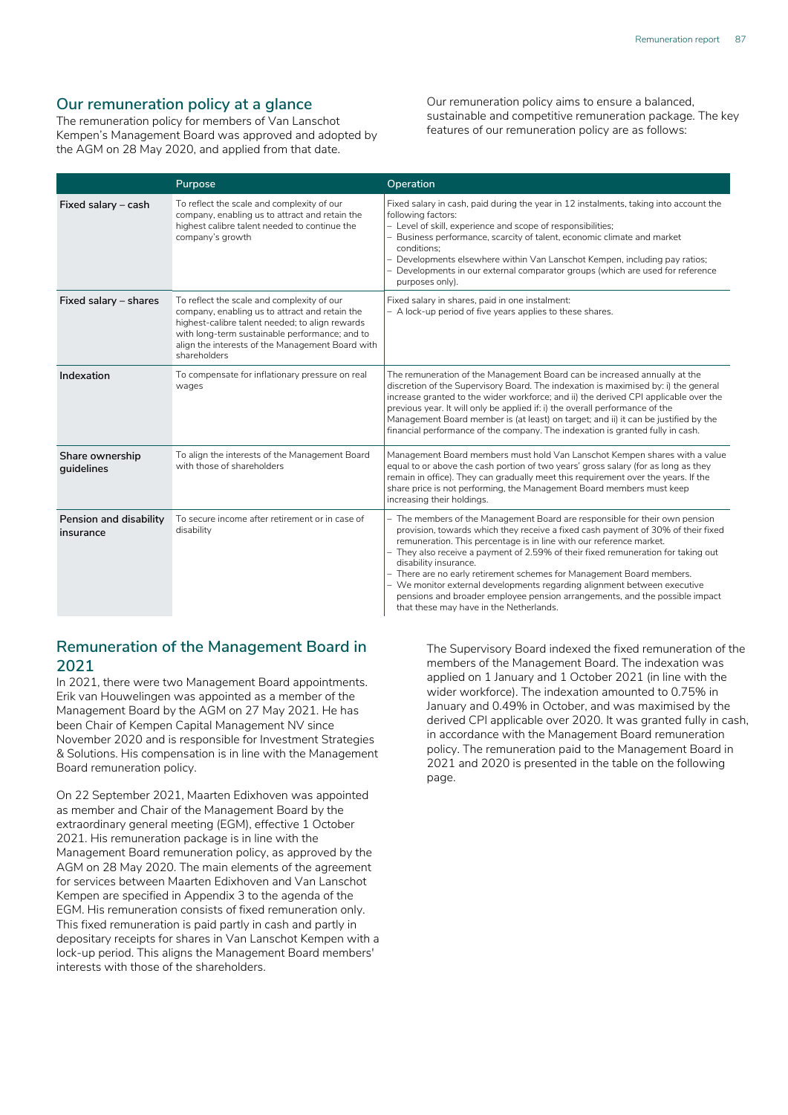## **Our remuneration policy at a glance**

The remuneration policy for members of Van Lanschot Kempen's Management Board was approved and adopted by the AGM on 28 May 2020, and applied from that date.

Our remuneration policy aims to ensure a balanced, sustainable and competitive remuneration package. The key features of our remuneration policy are as follows:

|                                     | Purpose                                                                                                                                                                                                                                                               | Operation                                                                                                                                                                                                                                                                                                                                                                                                                                                                                                                                                                                                                           |
|-------------------------------------|-----------------------------------------------------------------------------------------------------------------------------------------------------------------------------------------------------------------------------------------------------------------------|-------------------------------------------------------------------------------------------------------------------------------------------------------------------------------------------------------------------------------------------------------------------------------------------------------------------------------------------------------------------------------------------------------------------------------------------------------------------------------------------------------------------------------------------------------------------------------------------------------------------------------------|
| Fixed salary - cash                 | To reflect the scale and complexity of our<br>company, enabling us to attract and retain the<br>highest calibre talent needed to continue the<br>company's growth                                                                                                     | Fixed salary in cash, paid during the year in 12 instalments, taking into account the<br>following factors:<br>- Level of skill, experience and scope of responsibilities;<br>Business performance, scarcity of talent, economic climate and market<br>conditions:<br>- Developments elsewhere within Van Lanschot Kempen, including pay ratios;<br>Developments in our external comparator groups (which are used for reference<br>purposes only).                                                                                                                                                                                 |
| Fixed salary - shares               | To reflect the scale and complexity of our<br>company, enabling us to attract and retain the<br>highest-calibre talent needed; to align rewards<br>with long-term sustainable performance; and to<br>align the interests of the Management Board with<br>shareholders | Fixed salary in shares, paid in one instalment:<br>- A lock-up period of five years applies to these shares.                                                                                                                                                                                                                                                                                                                                                                                                                                                                                                                        |
| Indexation                          | To compensate for inflationary pressure on real<br>wages                                                                                                                                                                                                              | The remuneration of the Management Board can be increased annually at the<br>discretion of the Supervisory Board. The indexation is maximised by: i) the general<br>increase granted to the wider workforce; and ii) the derived CPI applicable over the<br>previous year. It will only be applied if: i) the overall performance of the<br>Management Board member is (at least) on target; and ii) it can be justified by the<br>financial performance of the company. The indexation is granted fully in cash.                                                                                                                   |
| Share ownership<br>quidelines       | To align the interests of the Management Board<br>with those of shareholders                                                                                                                                                                                          | Management Board members must hold Van Lanschot Kempen shares with a value<br>equal to or above the cash portion of two years' gross salary (for as long as they<br>remain in office). They can gradually meet this requirement over the years. If the<br>share price is not performing, the Management Board members must keep<br>increasing their holdings.                                                                                                                                                                                                                                                                       |
| Pension and disability<br>insurance | To secure income after retirement or in case of<br>disability                                                                                                                                                                                                         | - The members of the Management Board are responsible for their own pension<br>provision, towards which they receive a fixed cash payment of 30% of their fixed<br>remuneration. This percentage is in line with our reference market.<br>- They also receive a payment of 2.59% of their fixed remuneration for taking out<br>disability insurance.<br>- There are no early retirement schemes for Management Board members.<br>- We monitor external developments regarding alignment between executive<br>pensions and broader employee pension arrangements, and the possible impact<br>that these may have in the Netherlands. |

## **Remuneration of the Management Board in 2021**

In 2021, there were two Management Board appointments. Erik van Houwelingen was appointed as a member of the Management Board by the AGM on 27 May 2021. He has been Chair of Kempen Capital Management NV since November 2020 and is responsible for Investment Strategies & Solutions. His compensation is in line with the Management Board remuneration policy.

On 22 September 2021, Maarten Edixhoven was appointed as member and Chair of the Management Board by the extraordinary general meeting (EGM), effective 1 October 2021. His remuneration package is in line with the Management Board remuneration policy, as approved by the AGM on 28 May 2020. The main elements of the agreement for services between Maarten Edixhoven and Van Lanschot Kempen are specified in Appendix 3 to the agenda of the EGM. His remuneration consists of fixed remuneration only. This fixed remuneration is paid partly in cash and partly in depositary receipts for shares in Van Lanschot Kempen with a lock-up period. This aligns the Management Board members' interests with those of the shareholders.

The Supervisory Board indexed the fixed remuneration of the members of the Management Board. The indexation was applied on 1 January and 1 October 2021 (in line with the wider workforce). The indexation amounted to 0.75% in January and 0.49% in October, and was maximised by the derived CPI applicable over 2020. It was granted fully in cash, in accordance with the Management Board remuneration policy. The remuneration paid to the Management Board in 2021 and 2020 is presented in the table on the following page.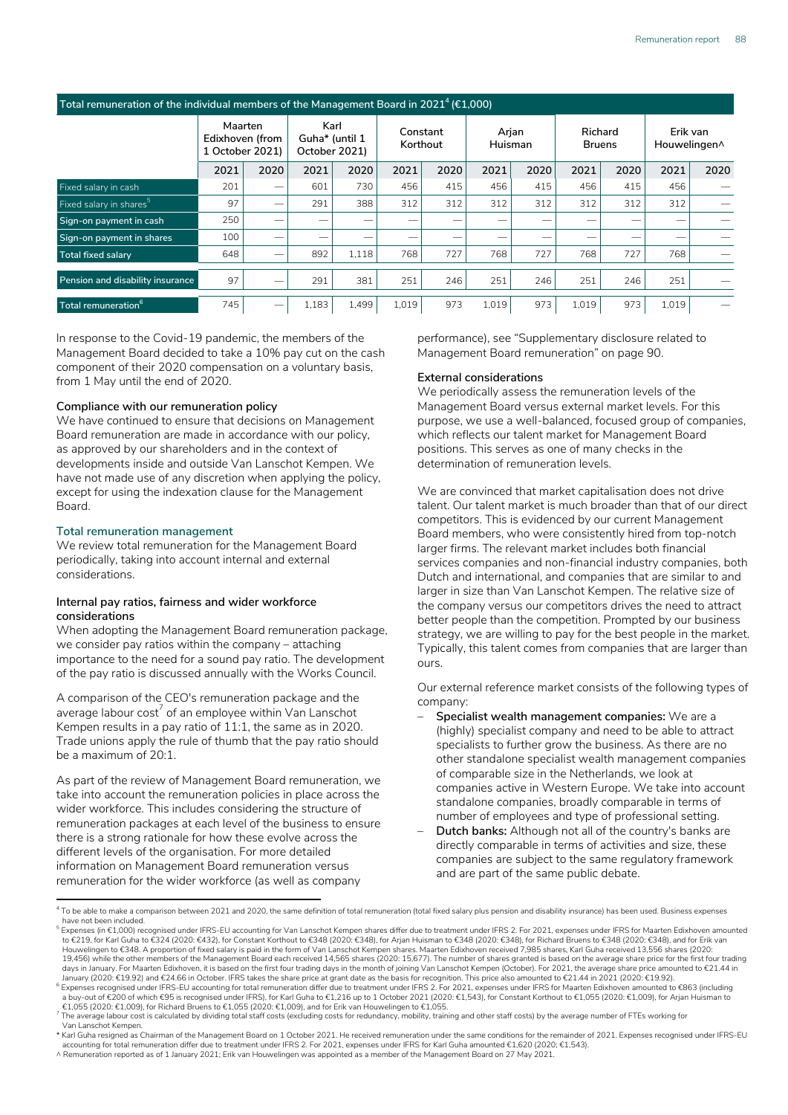#### **Total remuneration of the individual members of the Management Board in 2021<sup>4</sup>(€1,000)**

|                                     | Maarten<br>Edixhoven (from<br>1 October 2021) |      | Karl<br>Guha* (until 1<br>October 2021) |       | Constant<br>Korthout |      | Arjan<br>Huisman |      | Richard<br><b>Bruens</b> |      | Erik van<br>Houwelingen^ |      |
|-------------------------------------|-----------------------------------------------|------|-----------------------------------------|-------|----------------------|------|------------------|------|--------------------------|------|--------------------------|------|
|                                     | 2021                                          | 2020 | 2021                                    | 2020  | 2021                 | 2020 | 2021             | 2020 | 2021                     | 2020 | 2021                     | 2020 |
| Fixed salary in cash                | 201                                           | -    | 601                                     | 730   | 456                  | 415  | 456              | 415  | 456                      | 415  | 456                      |      |
| Fixed salary in shares <sup>5</sup> | 97                                            | -    | 291                                     | 388   | 312                  | 312  | 312              | 312  | 312                      | 312  | 312                      |      |
| Sign-on payment in cash             | 250                                           | _    |                                         | _     |                      | --   |                  | --   |                          |      |                          |      |
| Sign-on payment in shares           | 100                                           | _    |                                         | _     |                      | --   |                  | --   |                          |      |                          |      |
| <b>Total fixed salary</b>           | 648                                           | -    | 892                                     | 1.118 | 768                  | 727  | 768              | 727  | 768                      | 727  | 768                      |      |
| Pension and disability insurance    | 97                                            | -    | 291                                     | 381   | 251                  | 246  | 251              | 246  | 251                      | 246  | 251                      |      |
| Total remuneration <sup>o</sup>     | 745                                           | -    | 1,183                                   | 1.499 | 1,019                | 973  | 1.019            | 973  | 1,019                    | 973  | 1,019                    |      |

In response to the Covid-19 pandemic, the members of the Management Board decided to take a 10% pay cut on the cash component of their 2020 compensation on a voluntary basis, from 1 May until the end of 2020.

#### **Compliance with our remuneration policy4,5,6**

We have continued to ensure that decisions on Management Board remuneration are made in accordance with our policy, as approved by our shareholders and in the context of developments inside and outside Van Lanschot Kempen. We have not made use of any discretion when applying the policy, except for using the indexation clause for the Management Board.

#### **Total remuneration management**

We review total remuneration for the Management Board periodically, taking into account internal and external considerations.

#### **Internal pay ratios, fairness and wider workforce considerations**

When adopting the Management Board remuneration package, we consider pay ratios within the company – attaching importance to the need for a sound pay ratio. The development of the pay ratio is discussed annually with the Works Council.

A comparison of the CEO's remuneration package and the average labour  $\cos^{-7}$  of an employee within Van Lanschot Kempen results in a pay ratio of 11:1, the same as in 2020. Trade unions apply the rule of thumb that the pay ratio should be a maximum of 20:1.

As part of the review of Management Board remuneration, we take into account the remuneration policies in place across the wider workforce. This includes considering the structure of remuneration packages at each level of the business to ensure there is a strong rationale for how these evolve across the different levels of the organisation. For more detailed information on Management Board remuneration versus remuneration for the wider workforce (as well as company

performance), see "Supplementary disclosure related to Management Board remuneration" on page 90.

#### **External considerations**

We periodically assess the remuneration levels of the Management Board versus external market levels. For this purpose, we use a well-balanced, focused group of companies, which reflects our talent market for Management Board positions. This serves as one of many checks in the determination of remuneration levels.

We are convinced that market capitalisation does not drive talent. Our talent market is much broader than that of our direct competitors. This is evidenced by our current Management Board members, who were consistently hired from top-notch larger firms. The relevant market includes both financial services companies and non-financial industry companies, both Dutch and international, and companies that are similar to and larger in size than Van Lanschot Kempen. The relative size of the company versus our competitors drives the need to attract better people than the competition. Prompted by our business strategy, we are willing to pay for the best people in the market. Typically, this talent comes from companies that are larger than ours.

Our external reference market consists of the following types of company:

- **Specialist wealth management companies:** We are a (highly) specialist company and need to be able to attract specialists to further grow the business. As there are no other standalone specialist wealth management companies of comparable size in the Netherlands, we look at companies active in Western Europe. We take into account standalone companies, broadly comparable in terms of number of employees and type of professional setting.
- **Dutch banks:** Although not all of the country's banks are directly comparable in terms of activities and size, these companies are subject to the same regulatory framework and are part of the same public debate.

<sup>&</sup>lt;sup>4</sup> To be able to make a comparison between 2021 and 2020, the same definition of total remuneration (total fixed salary plus pension and disability insurance) has been used. Business expenses have not been included.

 $^5$  Expenses (in €1,000) recognised under IFRS-EU accounting for Van Lanschot Kempen shares differ due to treatment under IFRS 2. For 2021, expenses under IFRS for Maarten Edixhoven amounted to €219, for Karl Guha to €324 (2020: €432), for Constant Korthout to €348 (2020: €348), for Arjan Huisman to €348 (2020: €348), for Richard Bruens to €348 (2020: €348), and for Erik van<br>Houwelingen to €348. A proportion 19,456) while the other members of the Management Board each received 14,565 shares (2020: 15,677). The number of shares granted is based on the average share price for the first four trading days in January. For Maarten Edixhoven, it is based on the first four trading days in the month of joining Van Lanschot Kempen (October). For 2021, the average share price amounted to €21.44 in<br>Ianuary (2020: €19.92) and

<sup>&</sup>lt;sup>6</sup> Expenses recognised under IFRS-EU accounting for total remuneration differ due to treatment under IFRS 2. For 2021, expenses under IFRS for Maarten Edixhoven amounted to €863 (including<br>a buy-out of €200 of which €95 €1,055 (2020: €1,009), for Richard Bruens to €1,055 (2020: €1,009), and for Erik van Houwelingen to €1,055.

<sup>7</sup> The average labour cost is calculated by dividing total staff costs (excluding costs for redundancy, mobility, training and other staff costs) by the average number of FTFs working for Van Lanschot Kempen.

<sup>\*</sup> Karl Guha resigned as Chairman of the Management Board on 1 October 2021. He received remuneration under the same conditions for the remainder of 2021. Expenses recognised under IFRS-EU<br>⊃accounting for total remuneratio

<sup>^</sup> Remuneration reported as of 1 January 2021; Erik van Houwelingen was appointed as a member of the Management Board on 27 May 2021.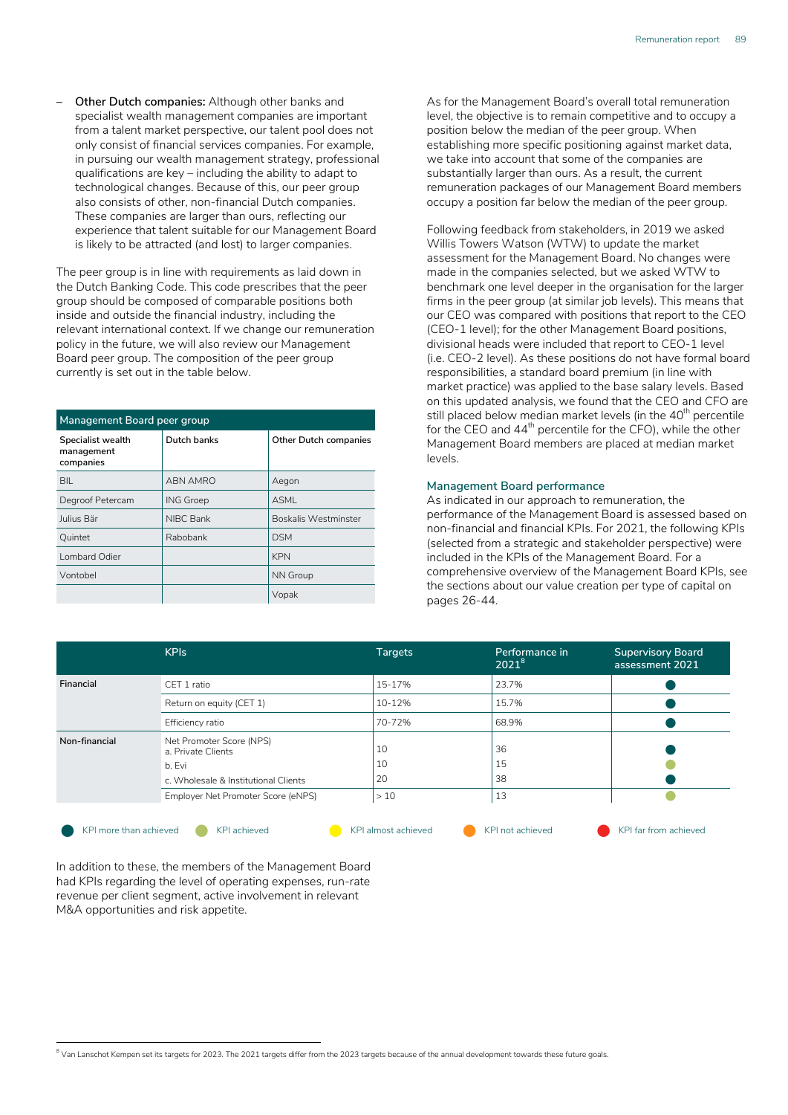**– Other Dutch companies:** Although other banks and specialist wealth management companies are important from a talent market perspective, our talent pool does not only consist of financial services companies. For example, in pursuing our wealth management strategy, professional qualifications are key – including the ability to adapt to technological changes. Because of this, our peer group also consists of other, non-financial Dutch companies. These companies are larger than ours, reflecting our experience that talent suitable for our Management Board is likely to be attracted (and lost) to larger companies.

The peer group is in line with requirements as laid down in the Dutch Banking Code. This code prescribes that the peer group should be composed of comparable positions both inside and outside the financial industry, including the relevant international context. If we change our remuneration policy in the future, we will also review our Management Board peer group. The composition of the peer group currently is set out in the table below.

| Management Board peer group                  |                  |                              |  |  |  |
|----------------------------------------------|------------------|------------------------------|--|--|--|
| Specialist wealth<br>management<br>companies | Dutch banks      | <b>Other Dutch companies</b> |  |  |  |
| BIL                                          | ABN AMRO         | Aegon                        |  |  |  |
| Degroof Petercam                             | <b>ING Groep</b> | ASMI                         |  |  |  |
| Julius Bär                                   | NIBC Bank        | <b>Boskalis Westminster</b>  |  |  |  |
| Quintet                                      | Rabobank         | <b>DSM</b>                   |  |  |  |
| Lombard Odier                                |                  | <b>KPN</b>                   |  |  |  |
| Vontobel                                     |                  | <b>NN Group</b>              |  |  |  |
|                                              |                  | Vopak                        |  |  |  |

As for the Management Board's overall total remuneration level, the objective is to remain competitive and to occupy a position below the median of the peer group. When establishing more specific positioning against market data, we take into account that some of the companies are substantially larger than ours. As a result, the current remuneration packages of our Management Board members occupy a position far below the median of the peer group.

Following feedback from stakeholders, in 2019 we asked Willis Towers Watson (WTW) to update the market assessment for the Management Board. No changes were made in the companies selected, but we asked WTW to benchmark one level deeper in the organisation for the larger firms in the peer group (at similar job levels). This means that our CEO was compared with positions that report to the CEO (CEO-1 level); for the other Management Board positions, divisional heads were included that report to CEO-1 level (i.e. CEO-2 level). As these positions do not have formal board responsibilities, a standard board premium (in line with market practice) was applied to the base salary levels. Based on this updated analysis, we found that the CEO and CFO are still placed below median market levels (in the 40<sup>th</sup> percentile for the CEO and 44<sup>th</sup> percentile for the CFO), while the other Management Board members are placed at median market levels.

#### **Management Board performance**

As indicated in our approach to remuneration, the performance of the Management Board is assessed based on non-financial and financial KPIs. For 2021, the following KPIs (selected from a strategic and stakeholder perspective) were included in the KPIs of the Management Board. For a comprehensive overview of the Management Board KPIs, see the sections about our value creation per type of capital on pages [26-44](#page--1-0).

|                                                                                                                                        |                       | $2021^8$             | assessment 2021 |
|----------------------------------------------------------------------------------------------------------------------------------------|-----------------------|----------------------|-----------------|
| CET 1 ratio                                                                                                                            | 15-17%                | 23.7%                |                 |
| Return on equity (CET 1)                                                                                                               | 10-12%                | 15.7%                |                 |
| Efficiency ratio                                                                                                                       | 70-72%                | 68.9%                |                 |
| Net Promoter Score (NPS)<br>a. Private Clients<br>b. Evi<br>c. Wholesale & Institutional Clients<br>Employer Net Promoter Score (eNPS) | 10<br>10<br>20<br>>10 | 36<br>15<br>38<br>13 |                 |
|                                                                                                                                        |                       |                      |                 |

l KPI more than achieved l KPI achieved l KPI almost achieved l KPI not achieved l KPI far from achieved



In addition to these, the members of the Management Board had KPIs regarding the level of operating expenses, run-rate revenue per client segment, active involvement in relevant M&A opportunities and risk appetite.

 $^{\text{8}}$  Van Lanschot Kempen set its targets for 2023. The 2021 targets differ from the 2023 targets because of the annual development towards these future goals.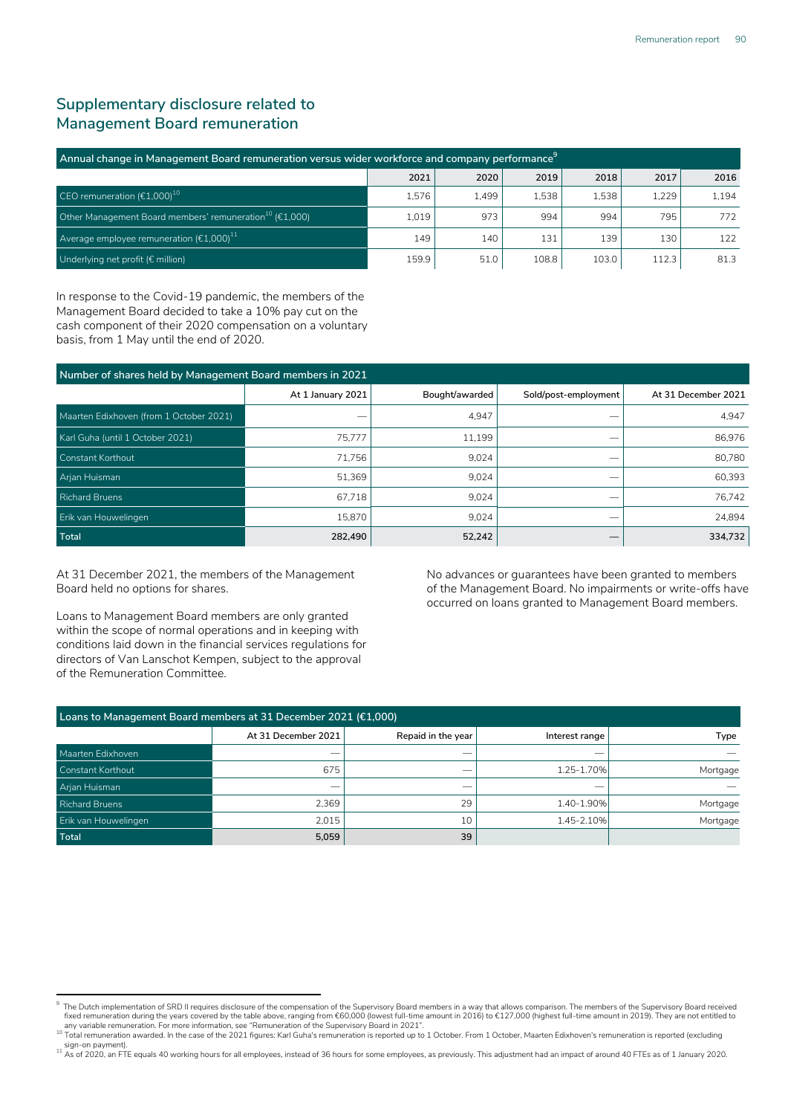# **Supplementary disclosure related to Management Board remuneration**

| Annual change in Management Board remuneration versus wider workforce and company performance <sup>9</sup> |       |       |       |       |       |       |
|------------------------------------------------------------------------------------------------------------|-------|-------|-------|-------|-------|-------|
|                                                                                                            | 2021  | 2020  | 2019  | 2018  | 2017  | 2016  |
| CEO remuneration $(\epsilon 1,000)^{10}$                                                                   | 1.576 | 1.499 | 1.538 | 1.538 | 1.229 | 1.194 |
| Other Management Board members' remuneration $^{10}$ (€1,000)                                              | 1.019 | 973   | 994   | 994   | 795   | 772   |
| Average employee remuneration $(\epsilon 1,000)^{11}$                                                      | 149   | 140   | 131   | 139   | 130   | 122   |
| Underlying net profit ( $\epsilon$ million)                                                                | 159.9 | 51.0  | 108.8 | 103.0 | 112.3 | 81.3  |

In response to the Covid-19 pandemic, the members of the Management Board decided to take a 10% pay cut on the cash component of their 2020 compensation on a voluntary basis, from 1 May until the end of 2020.

| Number of shares held by Management Board members in 2021 |                   |                |                      |                     |  |
|-----------------------------------------------------------|-------------------|----------------|----------------------|---------------------|--|
|                                                           | At 1 January 2021 | Bought/awarded | Sold/post-employment | At 31 December 2021 |  |
| Maarten Edixhoven (from 1 October 2021)                   |                   | 4,947          |                      | 4,947               |  |
| Karl Guha (until 1 October 2021)                          | 75.777            | 11,199         | _                    | 86.976              |  |
| Constant Korthout                                         | 71.756            | 9,024          | --                   | 80.780              |  |
| Arjan Huisman                                             | 51,369            | 9,024          | _                    | 60.393              |  |
| <b>Richard Bruens</b>                                     | 67.718            | 9,024          | _                    | 76.742              |  |
| Erik van Houwelingen                                      | 15.870            | 9.024          | _                    | 24.894              |  |
| Total                                                     | 282,490           | 52,242         | __                   | 334,732             |  |

At 31 December 2021, the members of the Management Board held no options for shares.

Loans to Management Board members are only granted within the scope of normal operations and in keeping with conditions laid down in the financial services regulations for directors of Van Lanschot Kempen, subject to the approval of the Remuneration Committee.

No advances or guarantees have been granted to members of the Management Board. No impairments or write-offs have occurred on loans granted to Management Board members.

| Loans to Management Board members at 31 December 2021 (€1,000) |                          |                          |                          |          |  |
|----------------------------------------------------------------|--------------------------|--------------------------|--------------------------|----------|--|
|                                                                | At 31 December 2021      | Repaid in the year       | Interest range           | Type     |  |
| Maarten Edixhoven                                              | $\overline{\phantom{a}}$ | $\overline{\phantom{a}}$ | $\overline{\phantom{a}}$ |          |  |
| Constant Korthout                                              | 675                      |                          | 1.25-1.70%               | Mortgage |  |
| Arjan Huisman                                                  | $\overline{\phantom{a}}$ | $\overline{\phantom{a}}$ | $\overline{\phantom{a}}$ |          |  |
| <b>Richard Bruens</b>                                          | 2.369                    | 29                       | 1.40-1.90%               | Mortgage |  |
| Erik van Houwelingen                                           | 2.015                    | 10                       | 1.45-2.10%               | Mortgage |  |
| Total                                                          | 5,059                    | 39                       |                          |          |  |

<sup>9</sup> " The Dutch implementation of SRD II requires disclosure of the compensation of the Supervisory Board members in a way that allows comparison. The members of the Supervisory Board received<br>fixed remuneration during the ye any variable remuneration. For more information, see "Remuneration of the Supervisory Board in 2021".

<sup>10</sup> Total remuneration awarded. In the case of the 2021 figures: Karl Guha's remuneration is reported up to 1 October. From 1 October, Maarten Edixhoven's remuneration is reported (excluding

sign-on payment).<br><sup>11</sup> As of 2020, an FTE equals 40 working hours for all employees, instead of 36 hours for some employees, as previously. This adjustment had an impact of around 40 FTEs as of 1 January 2020.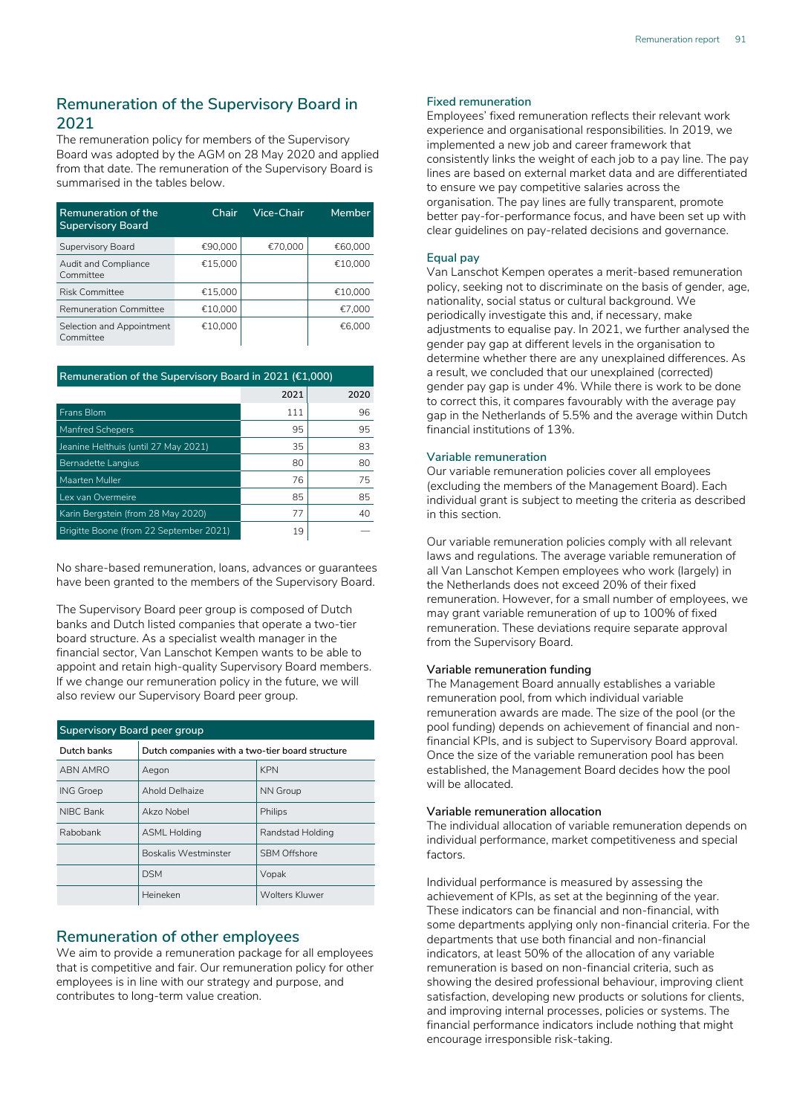# **Remuneration of the Supervisory Board in 2021**

The remuneration policy for members of the Supervisory Board was adopted by the AGM on 28 May 2020 and applied from that date. The remuneration of the Supervisory Board is summarised in the tables below.

| Remuneration of the<br><b>Supervisory Board</b> | Chair   | Vice-Chair | Member  |
|-------------------------------------------------|---------|------------|---------|
| Supervisory Board                               | €90.000 | €70.000    | €60.000 |
| Audit and Compliance<br>Committee               | €15.000 |            | €10.000 |
| <b>Risk Committee</b>                           | €15,000 |            | €10,000 |
| Remuneration Committee                          | €10.000 |            | €7.000  |
| Selection and Appointment<br>Committee          | €10.000 |            | €6.000  |

| Remuneration of the Supervisory Board in 2021 ( $£1,000$ ) |      |      |  |  |  |  |
|------------------------------------------------------------|------|------|--|--|--|--|
|                                                            | 2021 | 2020 |  |  |  |  |
| Frans Blom                                                 | 111  | 96   |  |  |  |  |
| <b>Manfred Schepers</b>                                    | 95   | 95   |  |  |  |  |
| Jeanine Helthuis (until 27 May 2021)                       | 35   | 83   |  |  |  |  |
| <b>Bernadette Langius</b>                                  | 80   | 80   |  |  |  |  |
| Maarten Muller                                             | 76   | 75   |  |  |  |  |
| Lex van Overmeire                                          | 85   | 85   |  |  |  |  |
| Karin Bergstein (from 28 May 2020)                         | 77   | 40   |  |  |  |  |
| Brigitte Boone (from 22 September 2021)                    | 19   |      |  |  |  |  |

No share-based remuneration, loans, advances or guarantees have been granted to the members of the Supervisory Board.

The Supervisory Board peer group is composed of Dutch banks and Dutch listed companies that operate a two-tier board structure. As a specialist wealth manager in the financial sector, Van Lanschot Kempen wants to be able to appoint and retain high-quality Supervisory Board members. If we change our remuneration policy in the future, we will also review our Supervisory Board peer group.

| Supervisory Board peer group |                                                 |                     |  |  |  |
|------------------------------|-------------------------------------------------|---------------------|--|--|--|
| Dutch banks                  | Dutch companies with a two-tier board structure |                     |  |  |  |
| ABN AMRO                     | Aegon                                           | <b>KPN</b>          |  |  |  |
| <b>ING Groep</b>             | Ahold Delhaize                                  | NN Group            |  |  |  |
| NIBC Bank                    | Akzo Nobel                                      | Philips             |  |  |  |
| Rabobank                     | <b>ASML Holding</b>                             | Randstad Holding    |  |  |  |
|                              | <b>Boskalis Westminster</b>                     | <b>SBM Offshore</b> |  |  |  |
|                              | <b>DSM</b>                                      | Vopak               |  |  |  |
|                              | Heineken                                        | Wolters Kluwer      |  |  |  |

## **Remuneration of other employees**

We aim to provide a remuneration package for all employees that is competitive and fair. Our remuneration policy for other employees is in line with our strategy and purpose, and contributes to long-term value creation.

#### **Fixed remuneration**

Employees' fixed remuneration reflects their relevant work experience and organisational responsibilities. In 2019, we implemented a new job and career framework that consistently links the weight of each job to a pay line. The pay lines are based on external market data and are differentiated to ensure we pay competitive salaries across the organisation. The pay lines are fully transparent, promote better pay-for-performance focus, and have been set up with clear guidelines on pay-related decisions and governance.

#### **Equal pay**

Van Lanschot Kempen operates a merit-based remuneration policy, seeking not to discriminate on the basis of gender, age, nationality, social status or cultural background. We periodically investigate this and, if necessary, make adjustments to equalise pay. In 2021, we further analysed the gender pay gap at different levels in the organisation to determine whether there are any unexplained differences. As a result, we concluded that our unexplained (corrected) gender pay gap is under 4%. While there is work to be done to correct this, it compares favourably with the average pay gap in the Netherlands of 5.5% and the average within Dutch financial institutions of 13%.

#### **Variable remuneration**

Our variable remuneration policies cover all employees (excluding the members of the Management Board). Each individual grant is subject to meeting the criteria as described in this section.

Our variable remuneration policies comply with all relevant laws and regulations. The average variable remuneration of all Van Lanschot Kempen employees who work (largely) in the Netherlands does not exceed 20% of their fixed remuneration. However, for a small number of employees, we may grant variable remuneration of up to 100% of fixed remuneration. These deviations require separate approval from the Supervisory Board.

#### **Variable remuneration funding**

The Management Board annually establishes a variable remuneration pool, from which individual variable remuneration awards are made. The size of the pool (or the pool funding) depends on achievement of financial and nonfinancial KPIs, and is subject to Supervisory Board approval. Once the size of the variable remuneration pool has been established, the Management Board decides how the pool will be allocated.

### **Variable remuneration allocation**

The individual allocation of variable remuneration depends on individual performance, market competitiveness and special factors.

Individual performance is measured by assessing the achievement of KPIs, as set at the beginning of the year. These indicators can be financial and non-financial, with some departments applying only non-financial criteria. For the departments that use both financial and non-financial indicators, at least 50% of the allocation of any variable remuneration is based on non-financial criteria, such as showing the desired professional behaviour, improving client satisfaction, developing new products or solutions for clients, and improving internal processes, policies or systems. The financial performance indicators include nothing that might encourage irresponsible risk-taking.